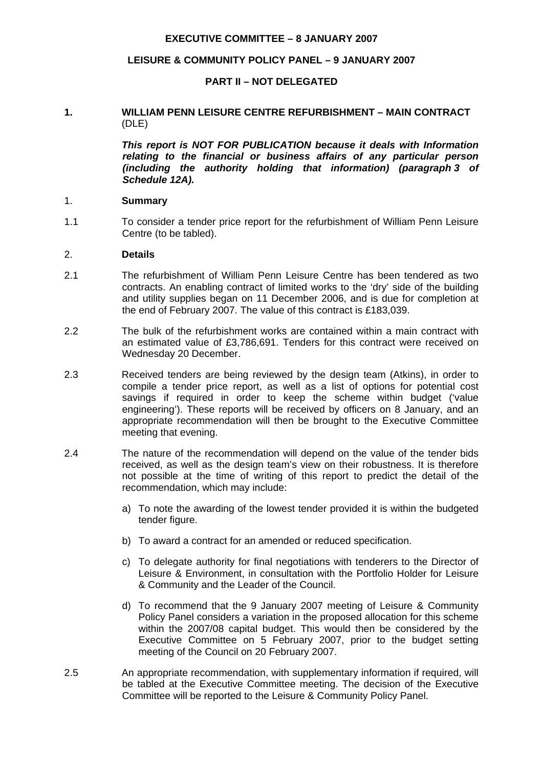### **EXECUTIVE COMMITTEE – 8 JANUARY 2007**

### **LEISURE & COMMUNITY POLICY PANEL – 9 JANUARY 2007**

### **PART II – NOT DELEGATED**

### **1. WILLIAM PENN LEISURE CENTRE REFURBISHMENT – MAIN CONTRACT** (DLE)

 *This report is NOT FOR PUBLICATION because it deals with Information relating to the financial or business affairs of any particular person (including the authority holding that information) (paragraph 3 of Schedule 12A).*

#### 1. **Summary**

1.1 To consider a tender price report for the refurbishment of William Penn Leisure Centre (to be tabled).

#### 2. **Details**

- 2.1 The refurbishment of William Penn Leisure Centre has been tendered as two contracts. An enabling contract of limited works to the 'dry' side of the building and utility supplies began on 11 December 2006, and is due for completion at the end of February 2007. The value of this contract is £183,039.
- 2.2 The bulk of the refurbishment works are contained within a main contract with an estimated value of £3,786,691. Tenders for this contract were received on Wednesday 20 December.
- 2.3 Received tenders are being reviewed by the design team (Atkins), in order to compile a tender price report, as well as a list of options for potential cost savings if required in order to keep the scheme within budget ('value engineering'). These reports will be received by officers on 8 January, and an appropriate recommendation will then be brought to the Executive Committee meeting that evening.
- 2.4 The nature of the recommendation will depend on the value of the tender bids received, as well as the design team's view on their robustness. It is therefore not possible at the time of writing of this report to predict the detail of the recommendation, which may include:
	- a) To note the awarding of the lowest tender provided it is within the budgeted tender figure.
	- b) To award a contract for an amended or reduced specification.
	- c) To delegate authority for final negotiations with tenderers to the Director of Leisure & Environment, in consultation with the Portfolio Holder for Leisure & Community and the Leader of the Council.
	- d) To recommend that the 9 January 2007 meeting of Leisure & Community Policy Panel considers a variation in the proposed allocation for this scheme within the 2007/08 capital budget. This would then be considered by the Executive Committee on 5 February 2007, prior to the budget setting meeting of the Council on 20 February 2007.
- 2.5 An appropriate recommendation, with supplementary information if required, will be tabled at the Executive Committee meeting. The decision of the Executive Committee will be reported to the Leisure & Community Policy Panel.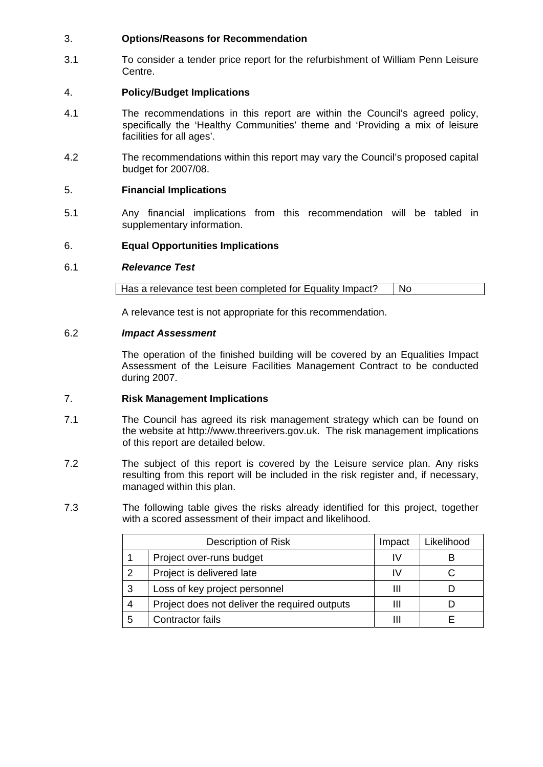# 3. **Options/Reasons for Recommendation**

3.1 To consider a tender price report for the refurbishment of William Penn Leisure Centre.

# 4. **Policy/Budget Implications**

- 4.1 The recommendations in this report are within the Council's agreed policy, specifically the 'Healthy Communities' theme and 'Providing a mix of leisure facilities for all ages'.
- 4.2 The recommendations within this report may vary the Council's proposed capital budget for 2007/08.

# 5. **Financial Implications**

5.1 Any financial implications from this recommendation will be tabled in supplementary information.

# 6. **Equal Opportunities Implications**

### 6.1 *Relevance Test*

A relevance test is not appropriate for this recommendation.

# 6.2 *Impact Assessment*

The operation of the finished building will be covered by an Equalities Impact Assessment of the Leisure Facilities Management Contract to be conducted during 2007.

# 7. **Risk Management Implications**

- 7.1 The Council has agreed its risk management strategy which can be found on the website at http://www.threerivers.gov.uk. The risk management implications of this report are detailed below.
- 7.2 The subject of this report is covered by the Leisure service plan. Any risks resulting from this report will be included in the risk register and, if necessary, managed within this plan.
- 7.3 The following table gives the risks already identified for this project, together with a scored assessment of their impact and likelihood.

|   | Description of Risk                           | Impact | Likelihood |
|---|-----------------------------------------------|--------|------------|
|   | Project over-runs budget                      |        |            |
| 2 | Project is delivered late                     | ΙV     |            |
| 3 | Loss of key project personnel                 |        |            |
| 4 | Project does not deliver the required outputs |        |            |
| 5 | Contractor fails                              |        |            |